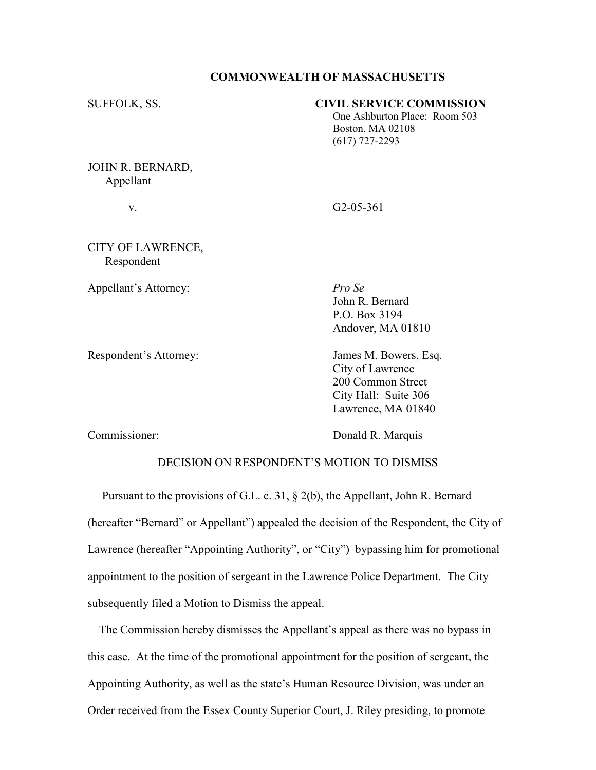## COMMONWEALTH OF MASSACHUSETTS

| SUFFOLK, SS.                  | <b>CIVIL SERVICE COMMISSION</b><br>One Ashburton Place: Room 503<br>Boston, MA 02108<br>$(617)$ 727-2293 |
|-------------------------------|----------------------------------------------------------------------------------------------------------|
| JOHN R. BERNARD,<br>Appellant |                                                                                                          |

v. G2-05-361

CITY OF LAWRENCE, Respondent

Appellant's Attorney: Pro Se

 Andover, MA 01810 Respondent's Attorney: James M. Bowers, Esq. City of Lawrence 200 Common Street

 John R. Bernard P.O. Box 3194

Commissioner: Donald R. Marquis

 City Hall: Suite 306 Lawrence, MA 01840

## DECISION ON RESPONDENT'S MOTION TO DISMISS

 Pursuant to the provisions of G.L. c. 31, § 2(b), the Appellant, John R. Bernard (hereafter "Bernard" or Appellant") appealed the decision of the Respondent, the City of Lawrence (hereafter "Appointing Authority", or "City") bypassing him for promotional appointment to the position of sergeant in the Lawrence Police Department. The City subsequently filed a Motion to Dismiss the appeal.

 The Commission hereby dismisses the Appellant's appeal as there was no bypass in this case. At the time of the promotional appointment for the position of sergeant, the Appointing Authority, as well as the state's Human Resource Division, was under an Order received from the Essex County Superior Court, J. Riley presiding, to promote